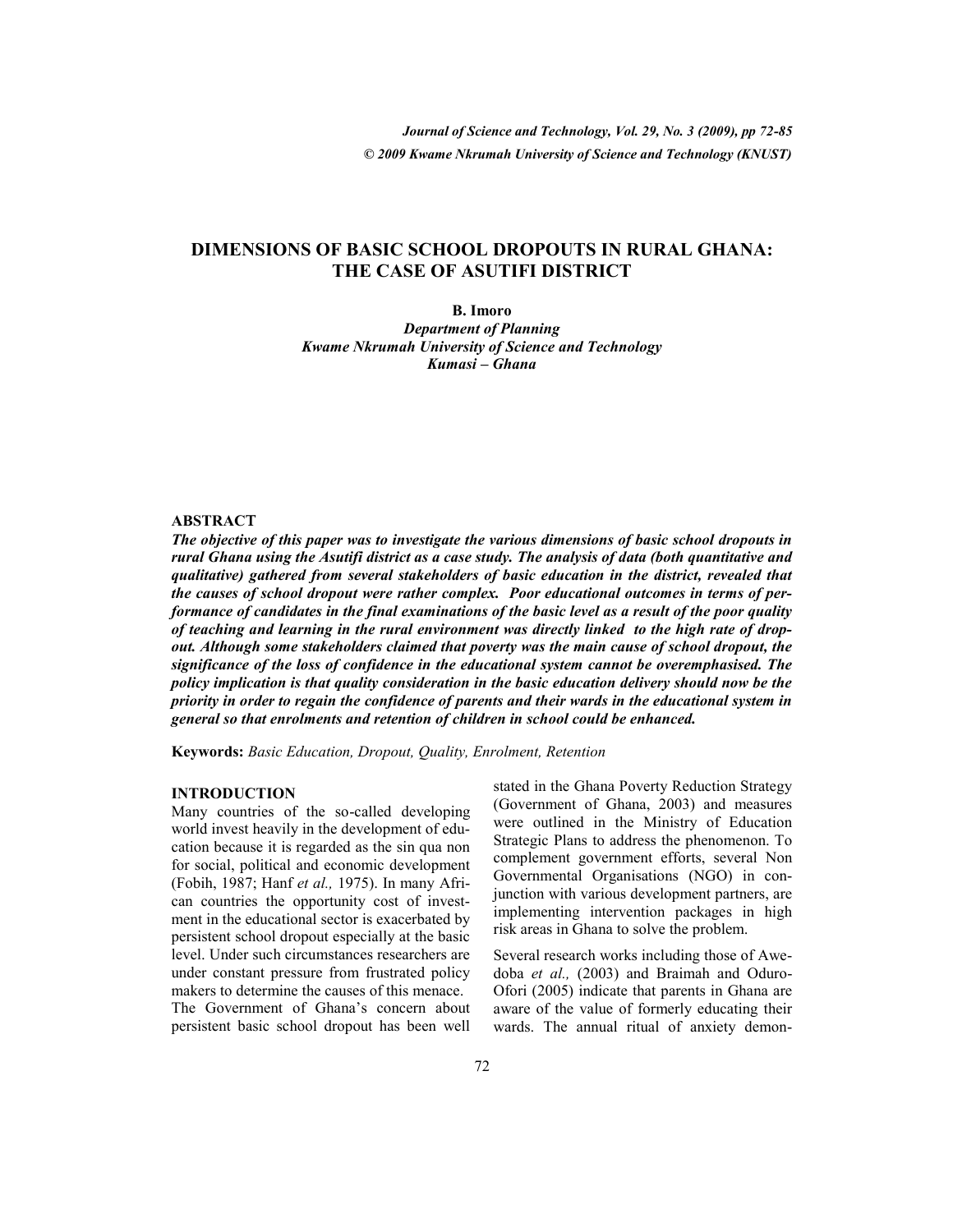# **DIMENSIONS OF BASIC SCHOOL DROPOUTS IN RURAL GHANA: THE CASE OF ASUTIFI DISTRICT**

**B. Imoro**

*Department of Planning Kwame Nkrumah University of Science and Technology Kumasi – Ghana*

# **ABSTRACT**

*The objective of this paper was to investigate the various dimensions of basic school dropouts in rural Ghana using the Asutifi district as a case study. The analysis of data (both quantitative and qualitative) gathered from several stakeholders of basic education in the district, revealed that the causes of school dropout were rather complex. Poor educational outcomes in terms of performance of candidates in the final examinations of the basic level as a result of the poor quality of teaching and learning in the rural environment was directly linked to the high rate of dropout. Although some stakeholders claimed that poverty was the main cause of school dropout, the significance of the loss of confidence in the educational system cannot be overemphasised. The policy implication is that quality consideration in the basic education delivery should now be the priority in order to regain the confidence of parents and their wards in the educational system in general so that enrolments and retention of children in school could be enhanced.*

**Keywords:** *Basic Education, Dropout, Quality, Enrolment, Retention*

# **INTRODUCTION**

Many countries of the so-called developing world invest heavily in the development of education because it is regarded as the sin qua non for social, political and economic development (Fobih, 1987; Hanf *et al.,* 1975). In many African countries the opportunity cost of investment in the educational sector is exacerbated by persistent school dropout especially at the basic level. Under such circumstances researchers are under constant pressure from frustrated policy makers to determine the causes of this menace.

The Government of Ghana's concern about persistent basic school dropout has been well

stated in the Ghana Poverty Reduction Strategy (Government of Ghana, 2003) and measures were outlined in the Ministry of Education Strategic Plans to address the phenomenon. To complement government efforts, several Non Governmental Organisations (NGO) in conjunction with various development partners, are implementing intervention packages in high risk areas in Ghana to solve the problem.

Several research works including those of Awedoba *et al.,* (2003) and Braimah and Oduro-Ofori (2005) indicate that parents in Ghana are aware of the value of formerly educating their wards. The annual ritual of anxiety demon-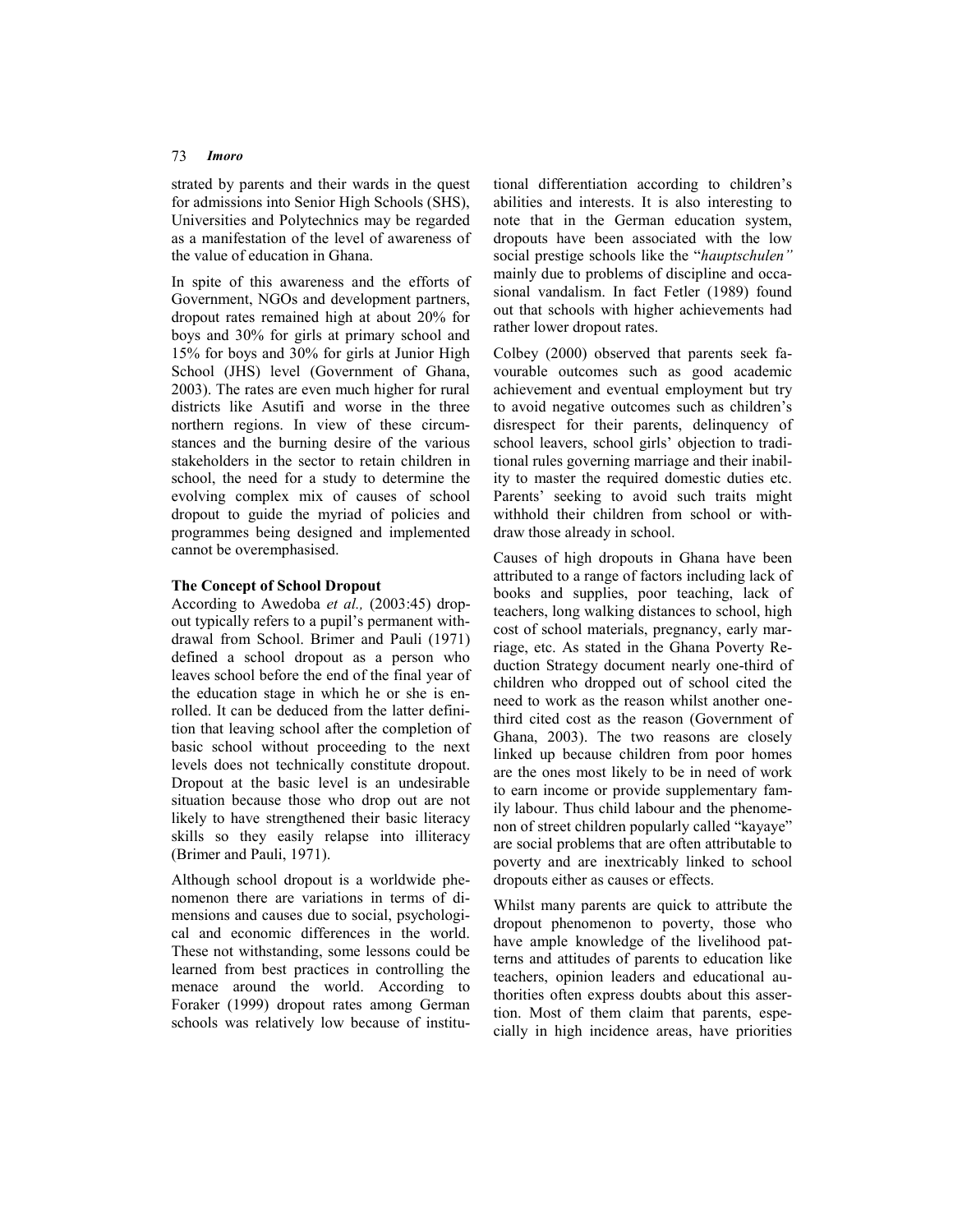strated by parents and their wards in the quest for admissions into Senior High Schools (SHS), Universities and Polytechnics may be regarded as a manifestation of the level of awareness of the value of education in Ghana.

In spite of this awareness and the efforts of Government, NGOs and development partners, dropout rates remained high at about 20% for boys and 30% for girls at primary school and 15% for boys and 30% for girls at Junior High School (JHS) level (Government of Ghana, 2003). The rates are even much higher for rural districts like Asutifi and worse in the three northern regions. In view of these circumstances and the burning desire of the various stakeholders in the sector to retain children in school, the need for a study to determine the evolving complex mix of causes of school dropout to guide the myriad of policies and programmes being designed and implemented cannot be overemphasised.

## **The Concept of School Dropout**

According to Awedoba *et al.,* (2003:45) dropout typically refers to a pupil's permanent withdrawal from School. Brimer and Pauli (1971) defined a school dropout as a person who leaves school before the end of the final year of the education stage in which he or she is enrolled. It can be deduced from the latter definition that leaving school after the completion of basic school without proceeding to the next levels does not technically constitute dropout. Dropout at the basic level is an undesirable situation because those who drop out are not likely to have strengthened their basic literacy skills so they easily relapse into illiteracy (Brimer and Pauli, 1971).

Although school dropout is a worldwide phenomenon there are variations in terms of dimensions and causes due to social, psychological and economic differences in the world. These not withstanding, some lessons could be learned from best practices in controlling the menace around the world. According to Foraker (1999) dropout rates among German schools was relatively low because of institu-

tional differentiation according to children's abilities and interests. It is also interesting to note that in the German education system, dropouts have been associated with the low social prestige schools like the "*hauptschulen"* mainly due to problems of discipline and occasional vandalism. In fact Fetler (1989) found out that schools with higher achievements had rather lower dropout rates.

Colbey (2000) observed that parents seek favourable outcomes such as good academic achievement and eventual employment but try to avoid negative outcomes such as children's disrespect for their parents, delinquency of school leavers, school girls' objection to traditional rules governing marriage and their inability to master the required domestic duties etc. Parents' seeking to avoid such traits might withhold their children from school or withdraw those already in school.

Causes of high dropouts in Ghana have been attributed to a range of factors including lack of books and supplies, poor teaching, lack of teachers, long walking distances to school, high cost of school materials, pregnancy, early marriage, etc. As stated in the Ghana Poverty Reduction Strategy document nearly one-third of children who dropped out of school cited the need to work as the reason whilst another onethird cited cost as the reason (Government of Ghana, 2003). The two reasons are closely linked up because children from poor homes are the ones most likely to be in need of work to earn income or provide supplementary family labour. Thus child labour and the phenomenon of street children popularly called "kayaye" are social problems that are often attributable to poverty and are inextricably linked to school dropouts either as causes or effects.

Whilst many parents are quick to attribute the dropout phenomenon to poverty, those who have ample knowledge of the livelihood patterns and attitudes of parents to education like teachers, opinion leaders and educational authorities often express doubts about this assertion. Most of them claim that parents, especially in high incidence areas, have priorities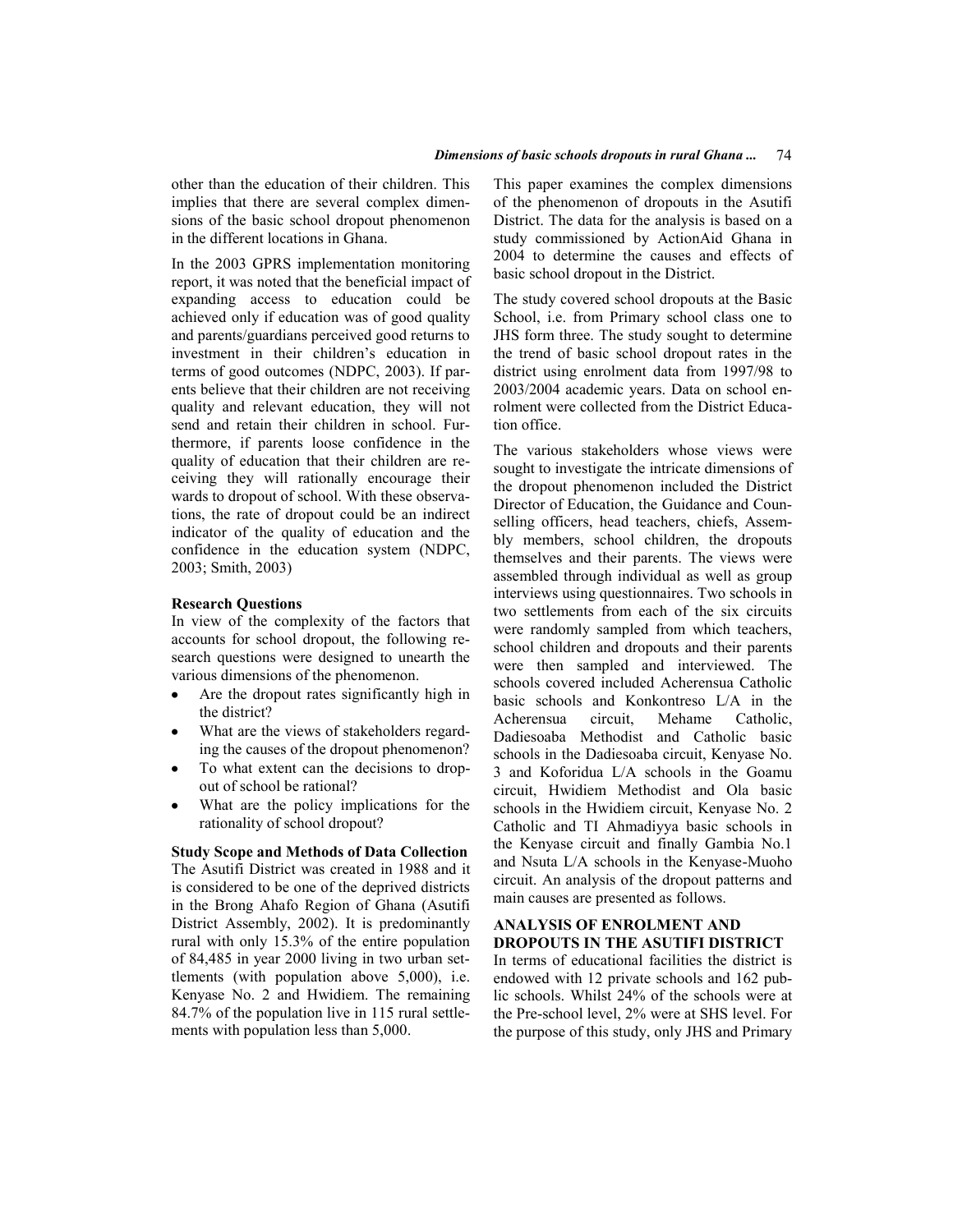other than the education of their children. This implies that there are several complex dimensions of the basic school dropout phenomenon in the different locations in Ghana.

In the 2003 GPRS implementation monitoring report, it was noted that the beneficial impact of expanding access to education could be achieved only if education was of good quality and parents/guardians perceived good returns to investment in their children's education in terms of good outcomes (NDPC, 2003). If parents believe that their children are not receiving quality and relevant education, they will not send and retain their children in school. Furthermore, if parents loose confidence in the quality of education that their children are receiving they will rationally encourage their wards to dropout of school. With these observations, the rate of dropout could be an indirect indicator of the quality of education and the confidence in the education system (NDPC, 2003; Smith, 2003)

# **Research Questions**

In view of the complexity of the factors that accounts for school dropout, the following research questions were designed to unearth the various dimensions of the phenomenon.

- $\bullet$ Are the dropout rates significantly high in the district?
- What are the views of stakeholders regard- $\bullet$ ing the causes of the dropout phenomenon?
- To what extent can the decisions to drop- $\bullet$ out of school be rational?
- What are the policy implications for the  $\bullet$ rationality of school dropout?

**Study Scope and Methods of Data Collection** The Asutifi District was created in 1988 and it is considered to be one of the deprived districts in the Brong Ahafo Region of Ghana (Asutifi District Assembly, 2002). It is predominantly rural with only 15.3% of the entire population of 84,485 in year 2000 living in two urban settlements (with population above 5,000), i.e. Kenyase No. 2 and Hwidiem. The remaining 84.7% of the population live in 115 rural settlements with population less than 5,000.

This paper examines the complex dimensions of the phenomenon of dropouts in the Asutifi District. The data for the analysis is based on a study commissioned by ActionAid Ghana in 2004 to determine the causes and effects of basic school dropout in the District.

The study covered school dropouts at the Basic School, i.e. from Primary school class one to JHS form three. The study sought to determine the trend of basic school dropout rates in the district using enrolment data from 1997/98 to 2003/2004 academic years. Data on school enrolment were collected from the District Education office.

The various stakeholders whose views were sought to investigate the intricate dimensions of the dropout phenomenon included the District Director of Education, the Guidance and Counselling officers, head teachers, chiefs, Assembly members, school children, the dropouts themselves and their parents. The views were assembled through individual as well as group interviews using questionnaires. Two schools in two settlements from each of the six circuits were randomly sampled from which teachers, school children and dropouts and their parents were then sampled and interviewed. The schools covered included Acherensua Catholic basic schools and Konkontreso L/A in the Acherensua circuit, Mehame Catholic, Dadiesoaba Methodist and Catholic basic schools in the Dadiesoaba circuit, Kenyase No. 3 and Koforidua L/A schools in the Goamu circuit, Hwidiem Methodist and Ola basic schools in the Hwidiem circuit, Kenyase No. 2 Catholic and TI Ahmadiyya basic schools in the Kenyase circuit and finally Gambia No.1 and Nsuta L/A schools in the Kenyase-Muoho circuit. An analysis of the dropout patterns and main causes are presented as follows.

# **ANALYSIS OF ENROLMENT AND DROPOUTS IN THE ASUTIFI DISTRICT**

In terms of educational facilities the district is endowed with 12 private schools and 162 public schools. Whilst 24% of the schools were at the Pre-school level, 2% were at SHS level. For the purpose of this study, only JHS and Primary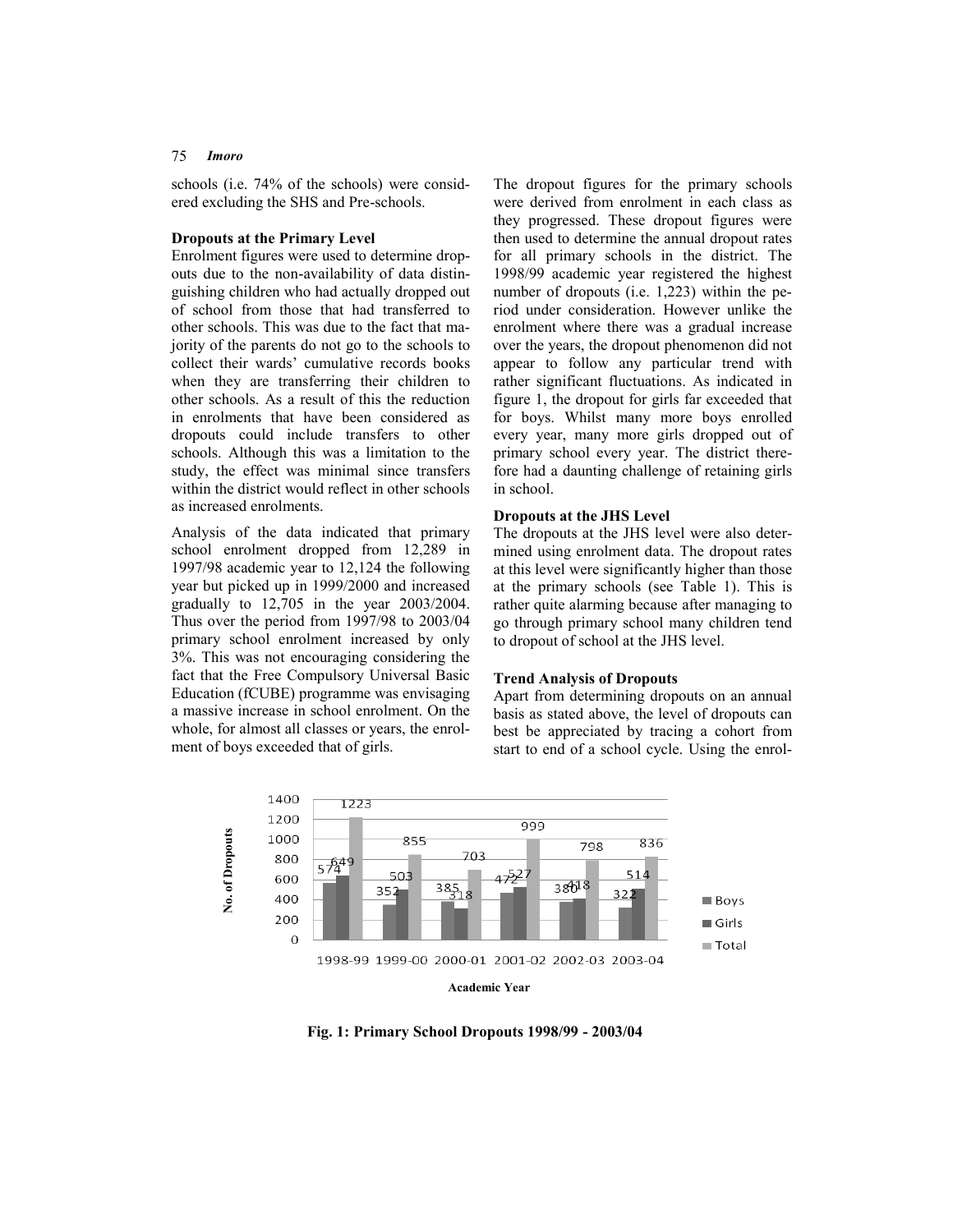schools (i.e. 74% of the schools) were considered excluding the SHS and Pre-schools.

## **Dropouts at the Primary Level**

Enrolment figures were used to determine dropouts due to the non-availability of data distinguishing children who had actually dropped out of school from those that had transferred to other schools. This was due to the fact that majority of the parents do not go to the schools to collect their wards' cumulative records books when they are transferring their children to other schools. As a result of this the reduction in enrolments that have been considered as dropouts could include transfers to other schools. Although this was a limitation to the study, the effect was minimal since transfers within the district would reflect in other schools as increased enrolments.

Analysis of the data indicated that primary school enrolment dropped from 12,289 in 1997/98 academic year to 12,124 the following year but picked up in 1999/2000 and increased gradually to 12,705 in the year 2003/2004. Thus over the period from 1997/98 to 2003/04 primary school enrolment increased by only 3%. This was not encouraging considering the fact that the Free Compulsory Universal Basic Education (fCUBE) programme was envisaging a massive increase in school enrolment. On the whole, for almost all classes or years, the enrolment of boys exceeded that of girls.

The dropout figures for the primary schools were derived from enrolment in each class as they progressed. These dropout figures were then used to determine the annual dropout rates for all primary schools in the district. The 1998/99 academic year registered the highest number of dropouts (i.e. 1,223) within the period under consideration. However unlike the enrolment where there was a gradual increase over the years, the dropout phenomenon did not appear to follow any particular trend with rather significant fluctuations. As indicated in figure 1, the dropout for girls far exceeded that for boys. Whilst many more boys enrolled every year, many more girls dropped out of primary school every year. The district therefore had a daunting challenge of retaining girls in school.

# **Dropouts at the JHS Level**

The dropouts at the JHS level were also determined using enrolment data. The dropout rates at this level were significantly higher than those at the primary schools (see Table 1). This is rather quite alarming because after managing to go through primary school many children tend to dropout of school at the JHS level.

## **Trend Analysis of Dropouts**

Apart from determining dropouts on an annual basis as stated above, the level of dropouts can best be appreciated by tracing a cohort from start to end of a school cycle. Using the enrol-



**Fig. 1: Primary School Dropouts 1998/99 - 2003/04**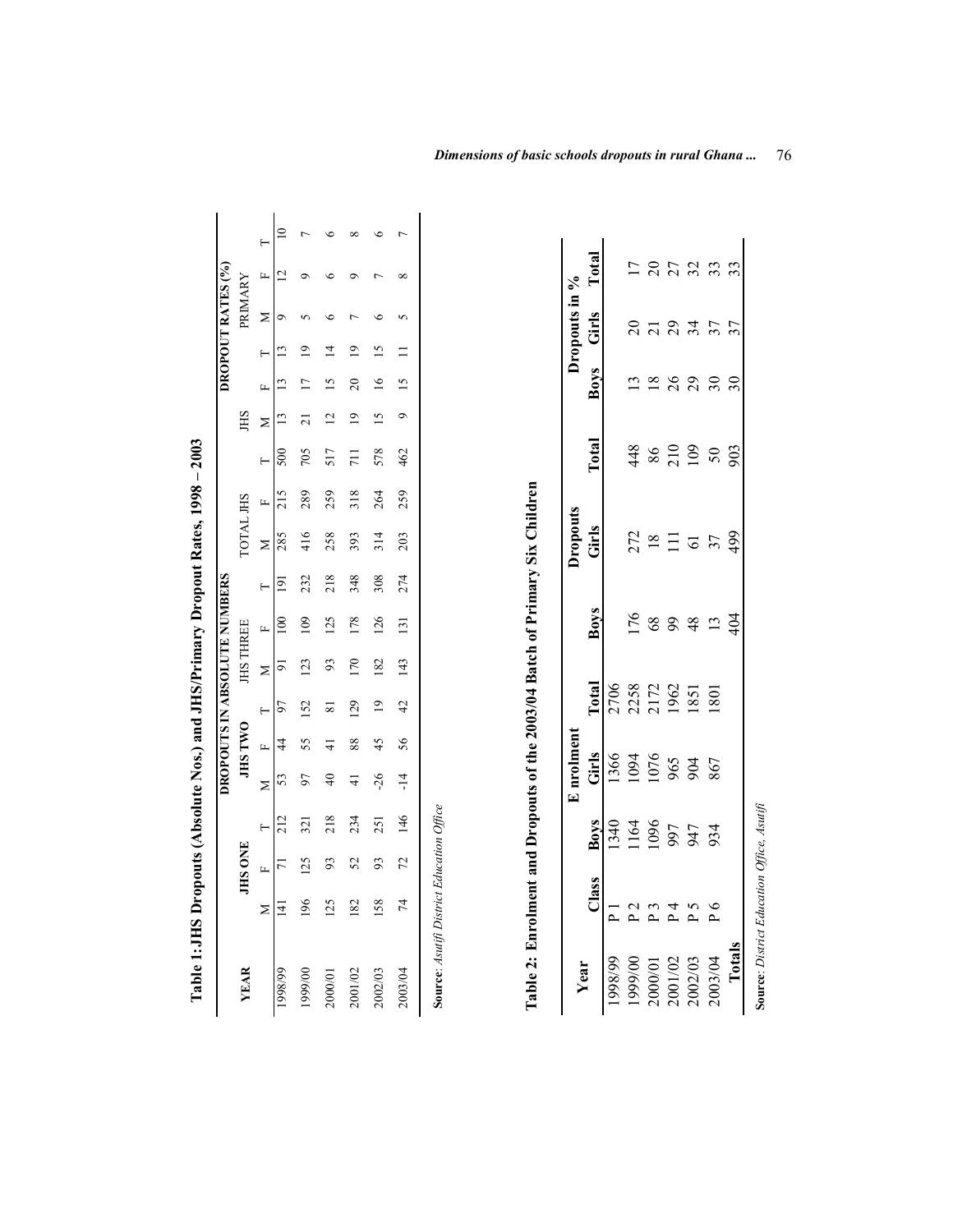| Table 1: JHS Dropouts (Absolute Nos.) and JHS/Primary Dropout Rates, 1998 – 2003 |               |                |     |               |               |               |                  |                              |     |                  |              |     |               |                 |                   |  |
|----------------------------------------------------------------------------------|---------------|----------------|-----|---------------|---------------|---------------|------------------|------------------------------|-----|------------------|--------------|-----|---------------|-----------------|-------------------|--|
|                                                                                  |               |                |     |               |               |               |                  | DROPOUTS IN ABSOLUTE NUMBERS |     |                  |              |     |               |                 | DROPOUT RATES (%) |  |
| YEAR                                                                             |               | <b>JHS ONE</b> |     |               | <b>OWLSHI</b> |               | <b>JHS THREE</b> |                              |     | <b>COTAL JHS</b> |              |     | ЯH            |                 | PRIMARY           |  |
|                                                                                  | ⊠             | $\mathbf{r}$   |     | ⋝             | $F$ $T$       |               | Σ                | $\overline{a}$               |     | Σ                | $\mathbf{r}$ |     | $\geq$        | L<br>L          |                   |  |
| 1998/99                                                                          | $\frac{1}{4}$ |                | 212 | 53            | $\frac{4}{4}$ |               |                  | 100                          | 191 | 285              | 215          | 500 | $\frac{1}{3}$ |                 |                   |  |
| 00/6661                                                                          | 196           | 125            | 321 | 56            | 55            | 152           | 123              | 109                          | 232 | 416              | 289          | 705 |               |                 |                   |  |
|                                                                                  | 125           | 93             | 218 | $\frac{1}{4}$ |               |               | 93               | 125                          | 218 | 258              | 259          | 517 |               |                 |                   |  |
| 2001/02                                                                          | 182           | 52             | 234 | $\frac{1}{4}$ | 88            | 129           | 170              | 178                          | 348 | 393              | 318          | 711 | $\frac{1}{2}$ | $\overline{20}$ |                   |  |
| 2002/03                                                                          | 158           | 93             | 251 | $-26$         | 45            | $\frac{1}{2}$ | 182              | 126                          | 308 | 314              | 264          | 578 |               |                 |                   |  |
| 2003/04                                                                          | 74            | 72             | 146 | $-14$         | 56            | 42            | 143              | 131                          | 274 | 203              | 259          | 462 |               | $9 \t15$        |                   |  |
| <b>Source</b> : Asutifi District Education Office                                |               |                |     |               |               |               |                  |                              |     |                  |              |     |               |                 |                   |  |

**Table 2: Enrolment and Dropouts of the 2003/04 Batch of Primary Six Children**

Table 2: Enrolment and Dropouts of the 2003/04 Batch of Primary Six Children

| Year                                     |                                                    |                                     | E nrolment                                  |                                                       |             | <b>Dropouts</b>                  |                                            |                 | Dropouts in %            |                |
|------------------------------------------|----------------------------------------------------|-------------------------------------|---------------------------------------------|-------------------------------------------------------|-------------|----------------------------------|--------------------------------------------|-----------------|--------------------------|----------------|
|                                          | Class                                              | Boys                                |                                             |                                                       | <b>Boys</b> | Girls                            | Total                                      | <b>Boys</b>     | Girls                    | Total          |
| 1998/99                                  |                                                    |                                     |                                             |                                                       |             |                                  |                                            |                 |                          |                |
|                                          |                                                    |                                     |                                             |                                                       | 176         |                                  |                                            |                 | $\overline{20}$          |                |
|                                          |                                                    |                                     |                                             |                                                       |             | $272$<br>$18$<br>$\overline{11}$ |                                            |                 |                          | $\overline{0}$ |
|                                          |                                                    |                                     |                                             |                                                       | 88          |                                  |                                            | $\%$            | $29$ 4                   |                |
| 1999/00<br>2000/01<br>2001/02<br>2002/03 |                                                    | 1340<br>1164<br>1096<br>1957<br>934 | Girls<br>1366<br>1076<br>1076<br>965<br>967 | Total<br>2706<br>2738<br>2172<br>1962<br>1851<br>1801 | 48          | $\overline{5}$                   |                                            | 29              |                          |                |
| 2003/04                                  |                                                    |                                     |                                             |                                                       | 13          |                                  | $448$<br>$85$ 210<br>$109$<br>$59$<br>$59$ | $\overline{30}$ | 37                       |                |
| Totals                                   |                                                    |                                     |                                             |                                                       | 404         | 499                              |                                            | $\overline{50}$ | $\overline{\mathcal{E}}$ |                |
|                                          | <b>Source</b> : District Education Office, Asutifi |                                     |                                             |                                                       |             |                                  |                                            |                 |                          |                |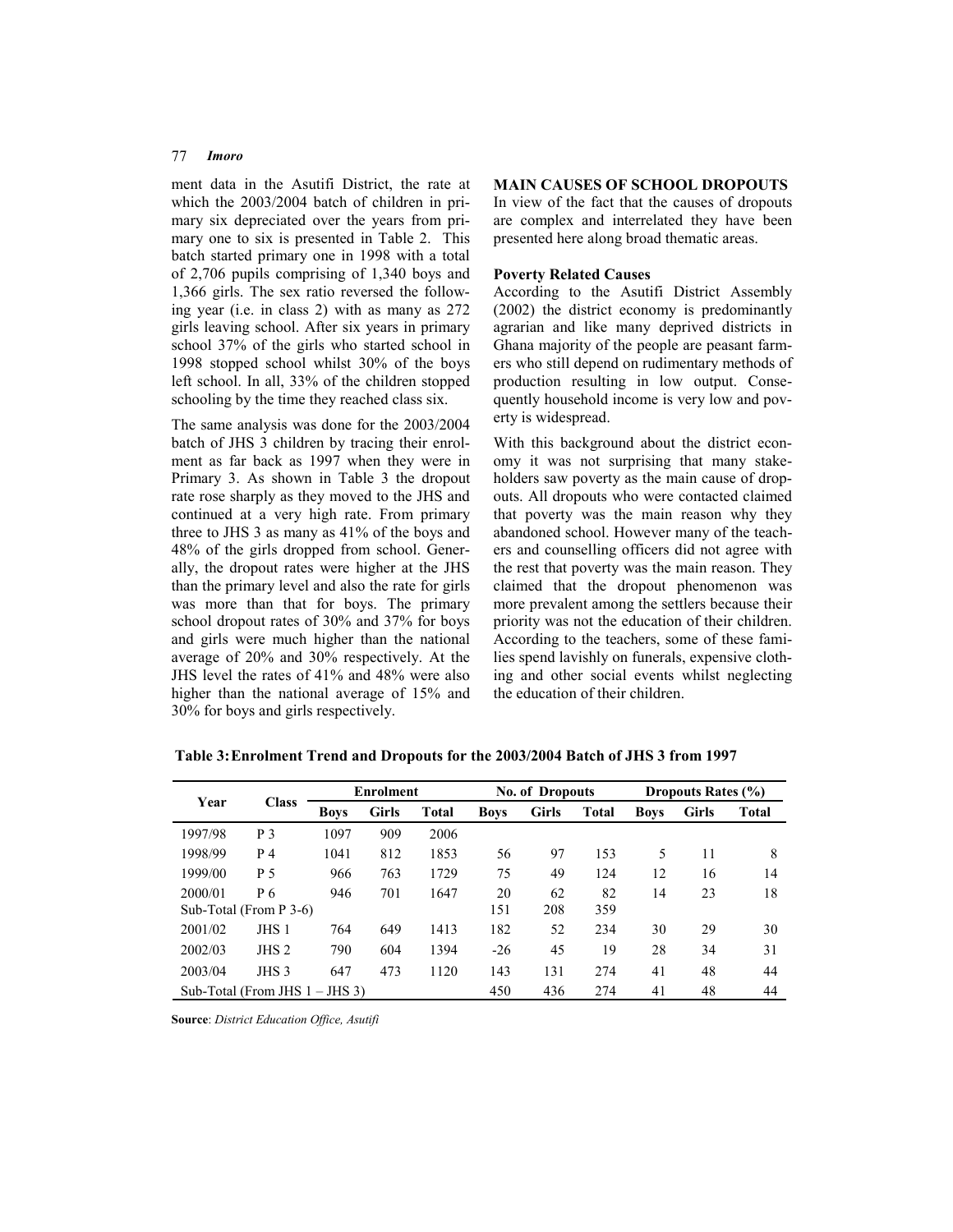ment data in the Asutifi District, the rate at which the 2003/2004 batch of children in primary six depreciated over the years from primary one to six is presented in Table 2. This batch started primary one in 1998 with a total of 2,706 pupils comprising of 1,340 boys and 1,366 girls. The sex ratio reversed the following year (i.e. in class 2) with as many as 272 girls leaving school. After six years in primary school 37% of the girls who started school in 1998 stopped school whilst 30% of the boys left school. In all, 33% of the children stopped schooling by the time they reached class six.

The same analysis was done for the 2003/2004 batch of JHS 3 children by tracing their enrolment as far back as 1997 when they were in Primary 3. As shown in Table 3 the dropout rate rose sharply as they moved to the JHS and continued at a very high rate. From primary three to JHS 3 as many as 41% of the boys and 48% of the girls dropped from school. Generally, the dropout rates were higher at the JHS than the primary level and also the rate for girls was more than that for boys. The primary school dropout rates of 30% and 37% for boys and girls were much higher than the national average of 20% and 30% respectively. At the JHS level the rates of 41% and 48% were also higher than the national average of 15% and 30% for boys and girls respectively.

## **MAIN CAUSES OF SCHOOL DROPOUTS**

In view of the fact that the causes of dropouts are complex and interrelated they have been presented here along broad thematic areas.

## **Poverty Related Causes**

According to the Asutifi District Assembly (2002) the district economy is predominantly agrarian and like many deprived districts in Ghana majority of the people are peasant farmers who still depend on rudimentary methods of production resulting in low output. Consequently household income is very low and poverty is widespread.

With this background about the district economy it was not surprising that many stakeholders saw poverty as the main cause of dropouts. All dropouts who were contacted claimed that poverty was the main reason why they abandoned school. However many of the teachers and counselling officers did not agree with the rest that poverty was the main reason. They claimed that the dropout phenomenon was more prevalent among the settlers because their priority was not the education of their children. According to the teachers, some of these families spend lavishly on funerals, expensive clothing and other social events whilst neglecting the education of their children.

| Year    | <b>Class</b>                     |             | Enrolment    |       |             | <b>No. of Dropouts</b> |              |             | <b>Dropouts Rates (%)</b> |              |
|---------|----------------------------------|-------------|--------------|-------|-------------|------------------------|--------------|-------------|---------------------------|--------------|
|         |                                  | <b>Boys</b> | <b>Girls</b> | Total | <b>Boys</b> | <b>Girls</b>           | <b>Total</b> | <b>Boys</b> | <b>Girls</b>              | <b>Total</b> |
| 1997/98 | P <sub>3</sub>                   | 1097        | 909          | 2006  |             |                        |              |             |                           |              |
| 1998/99 | P 4                              | 1041        | 812          | 1853  | 56          | 97                     | 153          | 5           | 11                        | 8            |
| 1999/00 | P 5                              | 966         | 763          | 1729  | 75          | 49                     | 124          | 12          | 16                        | 14           |
| 2000/01 | P 6<br>Sub-Total (From P 3-6)    | 946         | 701          | 1647  | 20<br>151   | 62<br>208              | 82<br>359    | 14          | 23                        | 18           |
| 2001/02 | JHS <sub>1</sub>                 | 764         | 649          | 1413  | 182         | 52                     | 234          | 30          | 29                        | 30           |
| 2002/03 | JHS <sub>2</sub>                 | 790         | 604          | 1394  | $-26$       | 45                     | 19           | 28          | 34                        | 31           |
| 2003/04 | JHS <sub>3</sub>                 | 647         | 473          | 1120  | 143         | 131                    | 274          | 41          | 48                        | 44           |
|         | Sub-Total (From JHS $1 - JHS$ 3) |             |              |       | 450         | 436                    | 274          | 41          | 48                        | 44           |

**Table 3:Enrolment Trend and Dropouts for the 2003/2004 Batch of JHS 3 from 1997**

**Source**: *District Education Office, Asutifi*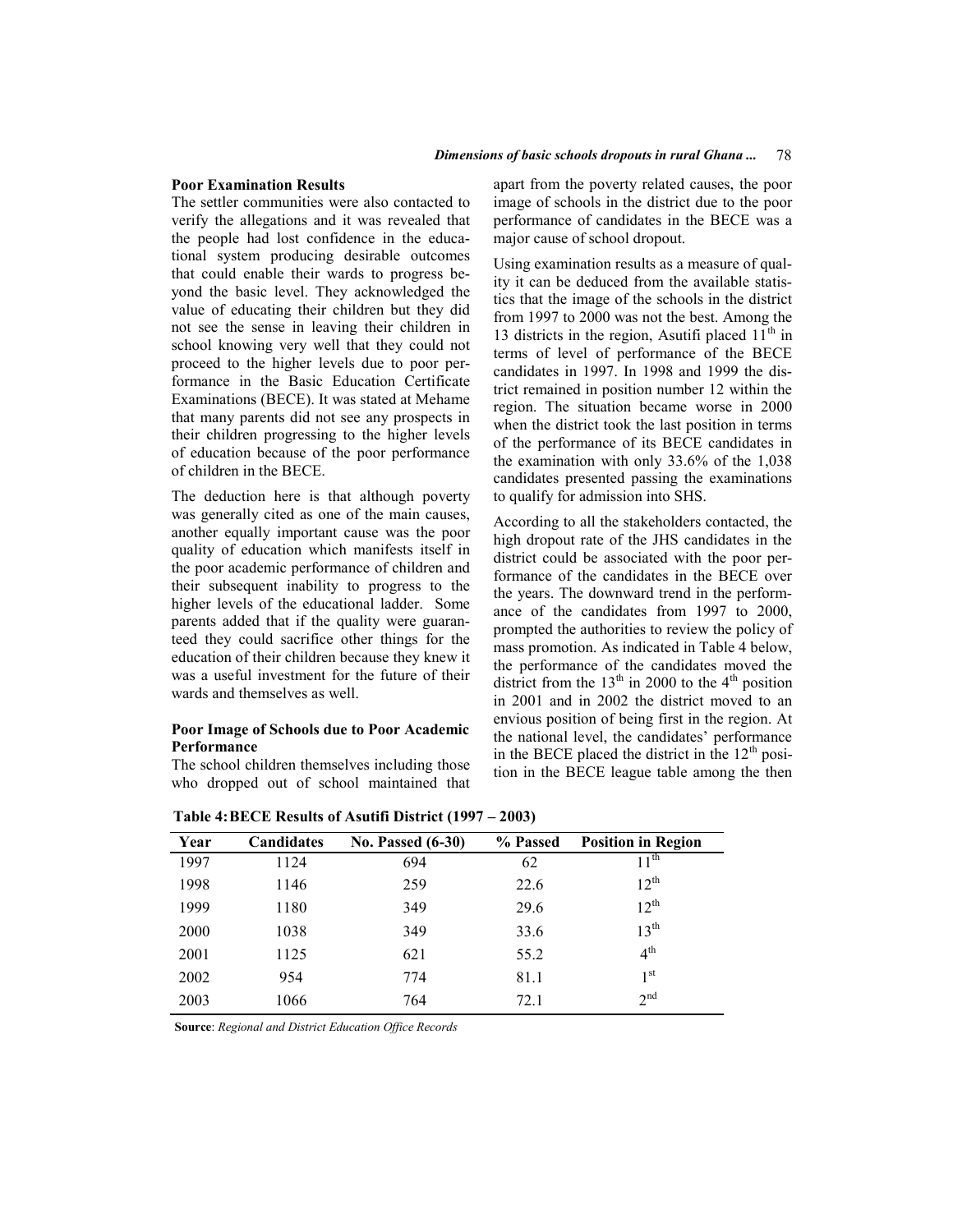#### **Poor Examination Results**

The settler communities were also contacted to verify the allegations and it was revealed that the people had lost confidence in the educational system producing desirable outcomes that could enable their wards to progress beyond the basic level. They acknowledged the value of educating their children but they did not see the sense in leaving their children in school knowing very well that they could not proceed to the higher levels due to poor performance in the Basic Education Certificate Examinations (BECE). It was stated at Mehame that many parents did not see any prospects in their children progressing to the higher levels of education because of the poor performance of children in the BECE.

The deduction here is that although poverty was generally cited as one of the main causes, another equally important cause was the poor quality of education which manifests itself in the poor academic performance of children and their subsequent inability to progress to the higher levels of the educational ladder. Some parents added that if the quality were guaranteed they could sacrifice other things for the education of their children because they knew it was a useful investment for the future of their wards and themselves as well.

## **Poor Image of Schools due to Poor Academic Performance**

The school children themselves including those who dropped out of school maintained that

apart from the poverty related causes, the poor image of schools in the district due to the poor performance of candidates in the BECE was a major cause of school dropout.

Using examination results as a measure of quality it can be deduced from the available statistics that the image of the schools in the district from 1997 to 2000 was not the best. Among the 13 districts in the region, Asutifi placed  $11<sup>th</sup>$  in terms of level of performance of the BECE candidates in 1997. In 1998 and 1999 the district remained in position number 12 within the region. The situation became worse in 2000 when the district took the last position in terms of the performance of its BECE candidates in the examination with only 33.6% of the 1,038 candidates presented passing the examinations to qualify for admission into SHS.

According to all the stakeholders contacted, the high dropout rate of the JHS candidates in the district could be associated with the poor performance of the candidates in the BECE over the years. The downward trend in the performance of the candidates from 1997 to 2000, prompted the authorities to review the policy of mass promotion. As indicated in Table 4 below, the performance of the candidates moved the district from the  $13<sup>th</sup>$  in 2000 to the 4<sup>th</sup> position in 2001 and in 2002 the district moved to an envious position of being first in the region. At the national level, the candidates' performance in the BECE placed the district in the  $12<sup>th</sup>$  position in the BECE league table among the then

| Year | <b>Candidates</b> | <b>No. Passed (6-30)</b> | % Passed | <b>Position in Region</b> |
|------|-------------------|--------------------------|----------|---------------------------|
| 1997 | 1124              | 694                      | 62       | $11^{\text{th}}$          |
| 1998 | 1146              | 259                      | 22.6     | $12^{th}$                 |
| 1999 | 1180              | 349                      | 29.6     | $12^{th}$                 |
| 2000 | 1038              | 349                      | 33.6     | 13 <sup>th</sup>          |
| 2001 | 1125              | 621                      | 55.2     | 4 <sup>th</sup>           |
| 2002 | 954               | 774                      | 81.1     | 1 <sup>st</sup>           |
| 2003 | 1066              | 764                      | 72.1     | 2 <sup>nd</sup>           |
|      |                   |                          |          |                           |

**Table 4:BECE Results of Asutifi District (1997 – 2003)**

**Source**: *Regional and District Education Office Records*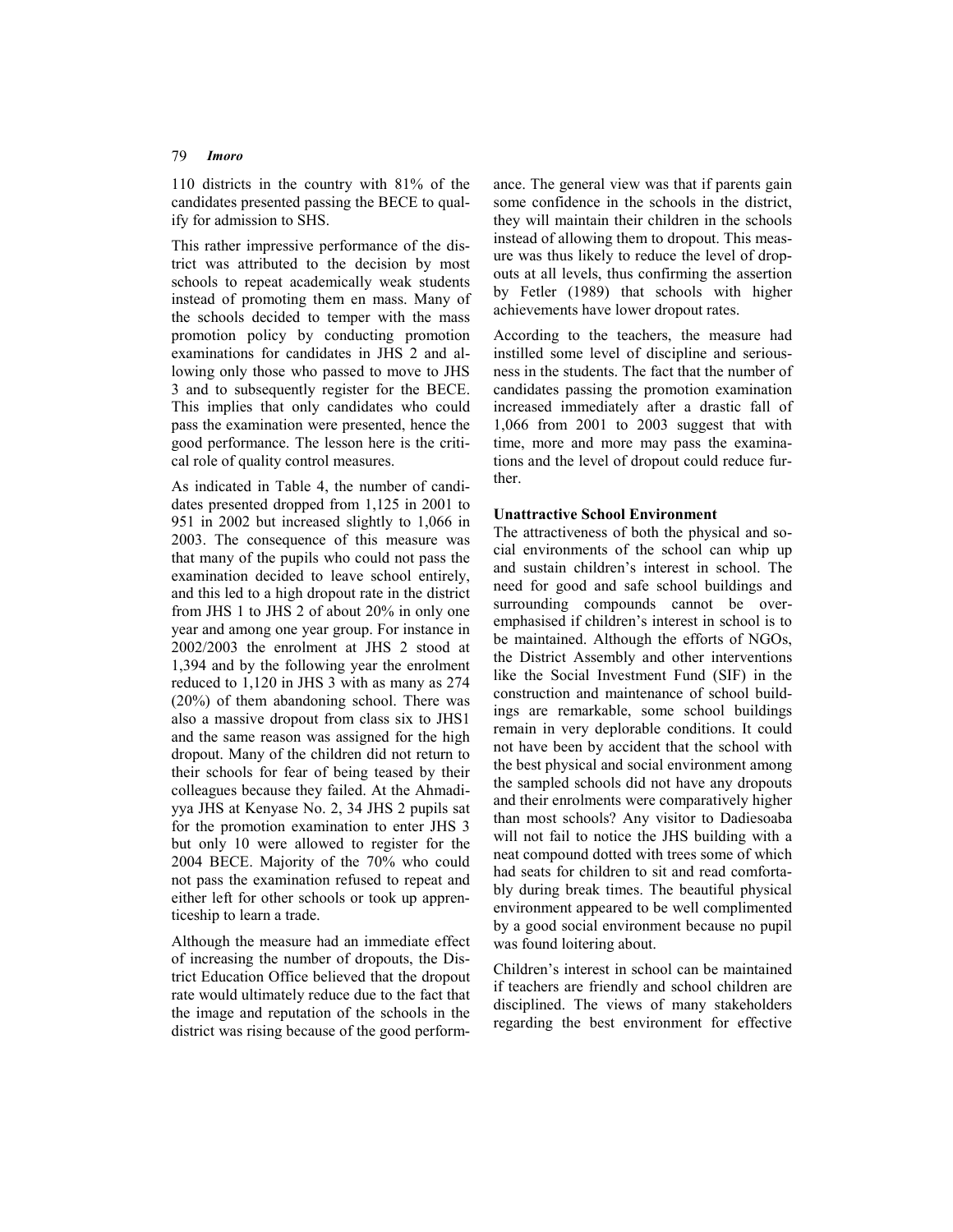110 districts in the country with 81% of the candidates presented passing the BECE to qualify for admission to SHS.

This rather impressive performance of the district was attributed to the decision by most schools to repeat academically weak students instead of promoting them en mass. Many of the schools decided to temper with the mass promotion policy by conducting promotion examinations for candidates in JHS 2 and allowing only those who passed to move to JHS 3 and to subsequently register for the BECE. This implies that only candidates who could pass the examination were presented, hence the good performance. The lesson here is the critical role of quality control measures.

As indicated in Table 4, the number of candidates presented dropped from 1,125 in 2001 to 951 in 2002 but increased slightly to 1,066 in 2003. The consequence of this measure was that many of the pupils who could not pass the examination decided to leave school entirely, and this led to a high dropout rate in the district from JHS 1 to JHS 2 of about 20% in only one year and among one year group. For instance in 2002/2003 the enrolment at JHS 2 stood at 1,394 and by the following year the enrolment reduced to 1,120 in JHS 3 with as many as 274 (20%) of them abandoning school. There was also a massive dropout from class six to JHS1 and the same reason was assigned for the high dropout. Many of the children did not return to their schools for fear of being teased by their colleagues because they failed. At the Ahmadiyya JHS at Kenyase No. 2, 34 JHS 2 pupils sat for the promotion examination to enter JHS 3 but only 10 were allowed to register for the 2004 BECE. Majority of the 70% who could not pass the examination refused to repeat and either left for other schools or took up apprenticeship to learn a trade.

Although the measure had an immediate effect of increasing the number of dropouts, the District Education Office believed that the dropout rate would ultimately reduce due to the fact that the image and reputation of the schools in the district was rising because of the good perform-

ance. The general view was that if parents gain some confidence in the schools in the district, they will maintain their children in the schools instead of allowing them to dropout. This measure was thus likely to reduce the level of dropouts at all levels, thus confirming the assertion by Fetler (1989) that schools with higher achievements have lower dropout rates.

According to the teachers, the measure had instilled some level of discipline and seriousness in the students. The fact that the number of candidates passing the promotion examination increased immediately after a drastic fall of 1,066 from 2001 to 2003 suggest that with time, more and more may pass the examinations and the level of dropout could reduce further.

## **Unattractive School Environment**

The attractiveness of both the physical and social environments of the school can whip up and sustain children's interest in school. The need for good and safe school buildings and surrounding compounds cannot be overemphasised if children's interest in school is to be maintained. Although the efforts of NGOs, the District Assembly and other interventions like the Social Investment Fund (SIF) in the construction and maintenance of school buildings are remarkable, some school buildings remain in very deplorable conditions. It could not have been by accident that the school with the best physical and social environment among the sampled schools did not have any dropouts and their enrolments were comparatively higher than most schools? Any visitor to Dadiesoaba will not fail to notice the JHS building with a neat compound dotted with trees some of which had seats for children to sit and read comfortably during break times. The beautiful physical environment appeared to be well complimented by a good social environment because no pupil was found loitering about.

Children's interest in school can be maintained if teachers are friendly and school children are disciplined. The views of many stakeholders regarding the best environment for effective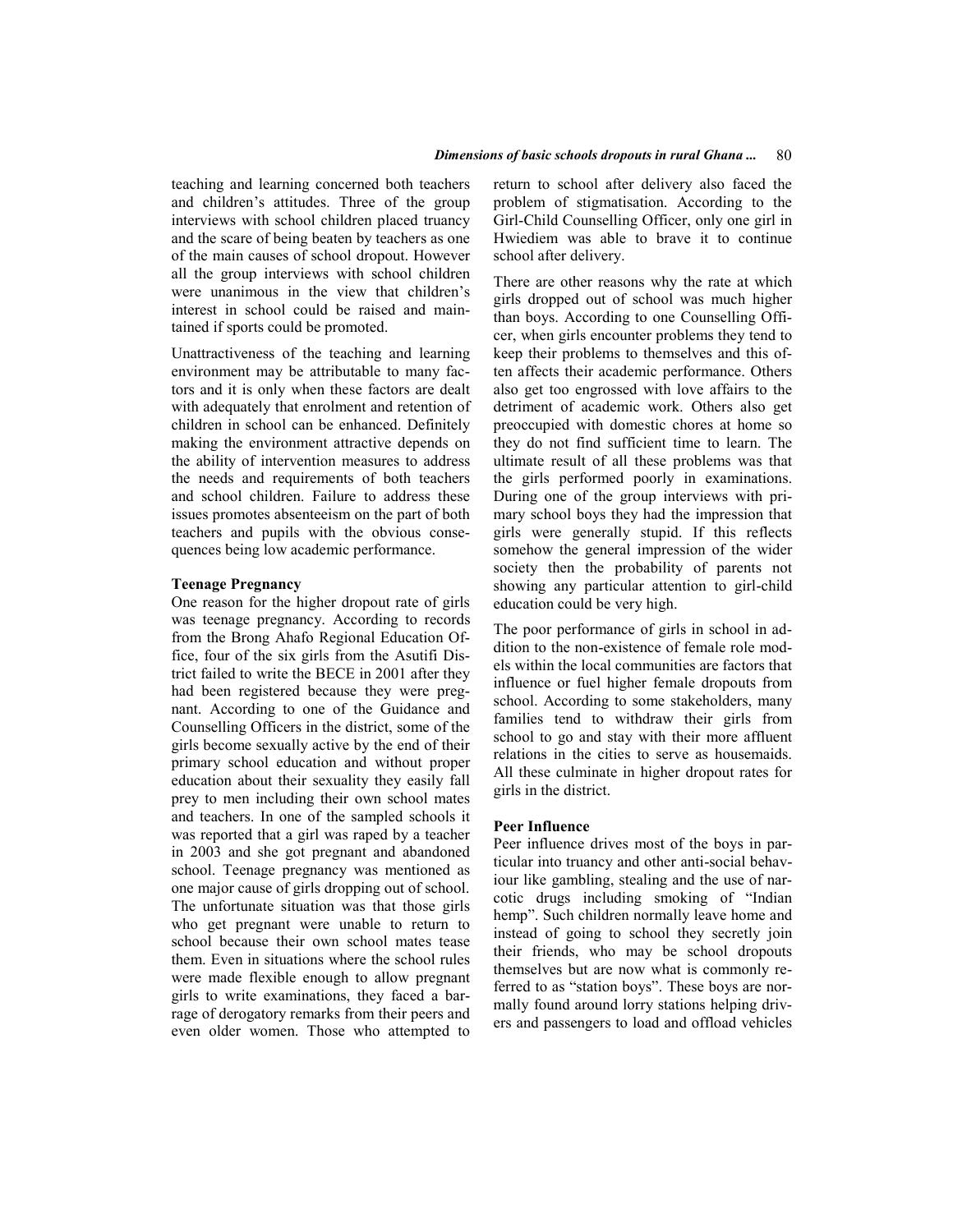teaching and learning concerned both teachers and children's attitudes. Three of the group interviews with school children placed truancy and the scare of being beaten by teachers as one of the main causes of school dropout. However all the group interviews with school children were unanimous in the view that children's interest in school could be raised and maintained if sports could be promoted.

Unattractiveness of the teaching and learning environment may be attributable to many factors and it is only when these factors are dealt with adequately that enrolment and retention of children in school can be enhanced. Definitely making the environment attractive depends on the ability of intervention measures to address the needs and requirements of both teachers and school children. Failure to address these issues promotes absenteeism on the part of both teachers and pupils with the obvious consequences being low academic performance.

## **Teenage Pregnancy**

One reason for the higher dropout rate of girls was teenage pregnancy. According to records from the Brong Ahafo Regional Education Office, four of the six girls from the Asutifi District failed to write the BECE in 2001 after they had been registered because they were pregnant. According to one of the Guidance and Counselling Officers in the district, some of the girls become sexually active by the end of their primary school education and without proper education about their sexuality they easily fall prey to men including their own school mates and teachers. In one of the sampled schools it was reported that a girl was raped by a teacher in 2003 and she got pregnant and abandoned school. Teenage pregnancy was mentioned as one major cause of girls dropping out of school. The unfortunate situation was that those girls who get pregnant were unable to return to school because their own school mates tease them. Even in situations where the school rules were made flexible enough to allow pregnant girls to write examinations, they faced a barrage of derogatory remarks from their peers and even older women. Those who attempted to

return to school after delivery also faced the problem of stigmatisation. According to the Girl-Child Counselling Officer, only one girl in Hwiediem was able to brave it to continue school after delivery.

There are other reasons why the rate at which girls dropped out of school was much higher than boys. According to one Counselling Officer, when girls encounter problems they tend to keep their problems to themselves and this often affects their academic performance. Others also get too engrossed with love affairs to the detriment of academic work. Others also get preoccupied with domestic chores at home so they do not find sufficient time to learn. The ultimate result of all these problems was that the girls performed poorly in examinations. During one of the group interviews with primary school boys they had the impression that girls were generally stupid. If this reflects somehow the general impression of the wider society then the probability of parents not showing any particular attention to girl-child education could be very high.

The poor performance of girls in school in addition to the non-existence of female role models within the local communities are factors that influence or fuel higher female dropouts from school. According to some stakeholders, many families tend to withdraw their girls from school to go and stay with their more affluent relations in the cities to serve as housemaids. All these culminate in higher dropout rates for girls in the district.

## **Peer Influence**

Peer influence drives most of the boys in particular into truancy and other anti-social behaviour like gambling, stealing and the use of narcotic drugs including smoking of "Indian hemp". Such children normally leave home and instead of going to school they secretly join their friends, who may be school dropouts themselves but are now what is commonly referred to as "station boys". These boys are normally found around lorry stations helping drivers and passengers to load and offload vehicles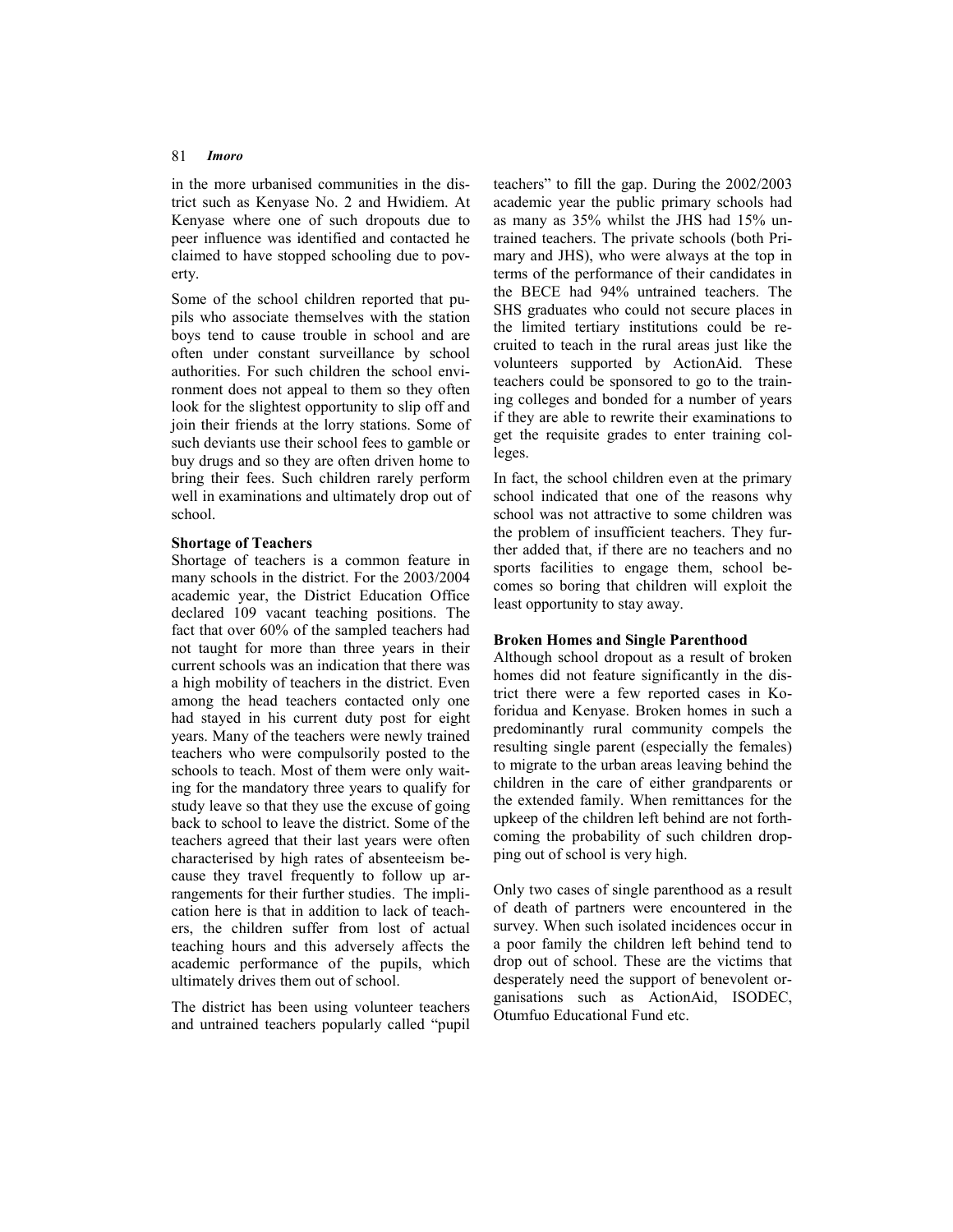in the more urbanised communities in the district such as Kenyase No. 2 and Hwidiem. At Kenyase where one of such dropouts due to peer influence was identified and contacted he claimed to have stopped schooling due to poverty.

Some of the school children reported that pupils who associate themselves with the station boys tend to cause trouble in school and are often under constant surveillance by school authorities. For such children the school environment does not appeal to them so they often look for the slightest opportunity to slip off and join their friends at the lorry stations. Some of such deviants use their school fees to gamble or buy drugs and so they are often driven home to bring their fees. Such children rarely perform well in examinations and ultimately drop out of school.

## **Shortage of Teachers**

Shortage of teachers is a common feature in many schools in the district. For the 2003/2004 academic year, the District Education Office declared 109 vacant teaching positions. The fact that over 60% of the sampled teachers had not taught for more than three years in their current schools was an indication that there was a high mobility of teachers in the district. Even among the head teachers contacted only one had stayed in his current duty post for eight years. Many of the teachers were newly trained teachers who were compulsorily posted to the schools to teach. Most of them were only waiting for the mandatory three years to qualify for study leave so that they use the excuse of going back to school to leave the district. Some of the teachers agreed that their last years were often characterised by high rates of absenteeism because they travel frequently to follow up arrangements for their further studies. The implication here is that in addition to lack of teachers, the children suffer from lost of actual teaching hours and this adversely affects the academic performance of the pupils, which ultimately drives them out of school.

The district has been using volunteer teachers and untrained teachers popularly called "pupil

teachers" to fill the gap. During the 2002/2003 academic year the public primary schools had as many as 35% whilst the JHS had 15% untrained teachers. The private schools (both Primary and JHS), who were always at the top in terms of the performance of their candidates in the BECE had 94% untrained teachers. The SHS graduates who could not secure places in the limited tertiary institutions could be recruited to teach in the rural areas just like the volunteers supported by ActionAid. These teachers could be sponsored to go to the training colleges and bonded for a number of years if they are able to rewrite their examinations to get the requisite grades to enter training colleges.

In fact, the school children even at the primary school indicated that one of the reasons why school was not attractive to some children was the problem of insufficient teachers. They further added that, if there are no teachers and no sports facilities to engage them, school becomes so boring that children will exploit the least opportunity to stay away.

#### **Broken Homes and Single Parenthood**

Although school dropout as a result of broken homes did not feature significantly in the district there were a few reported cases in Koforidua and Kenyase. Broken homes in such a predominantly rural community compels the resulting single parent (especially the females) to migrate to the urban areas leaving behind the children in the care of either grandparents or the extended family. When remittances for the upkeep of the children left behind are not forthcoming the probability of such children dropping out of school is very high.

Only two cases of single parenthood as a result of death of partners were encountered in the survey. When such isolated incidences occur in a poor family the children left behind tend to drop out of school. These are the victims that desperately need the support of benevolent organisations such as ActionAid, ISODEC, Otumfuo Educational Fund etc.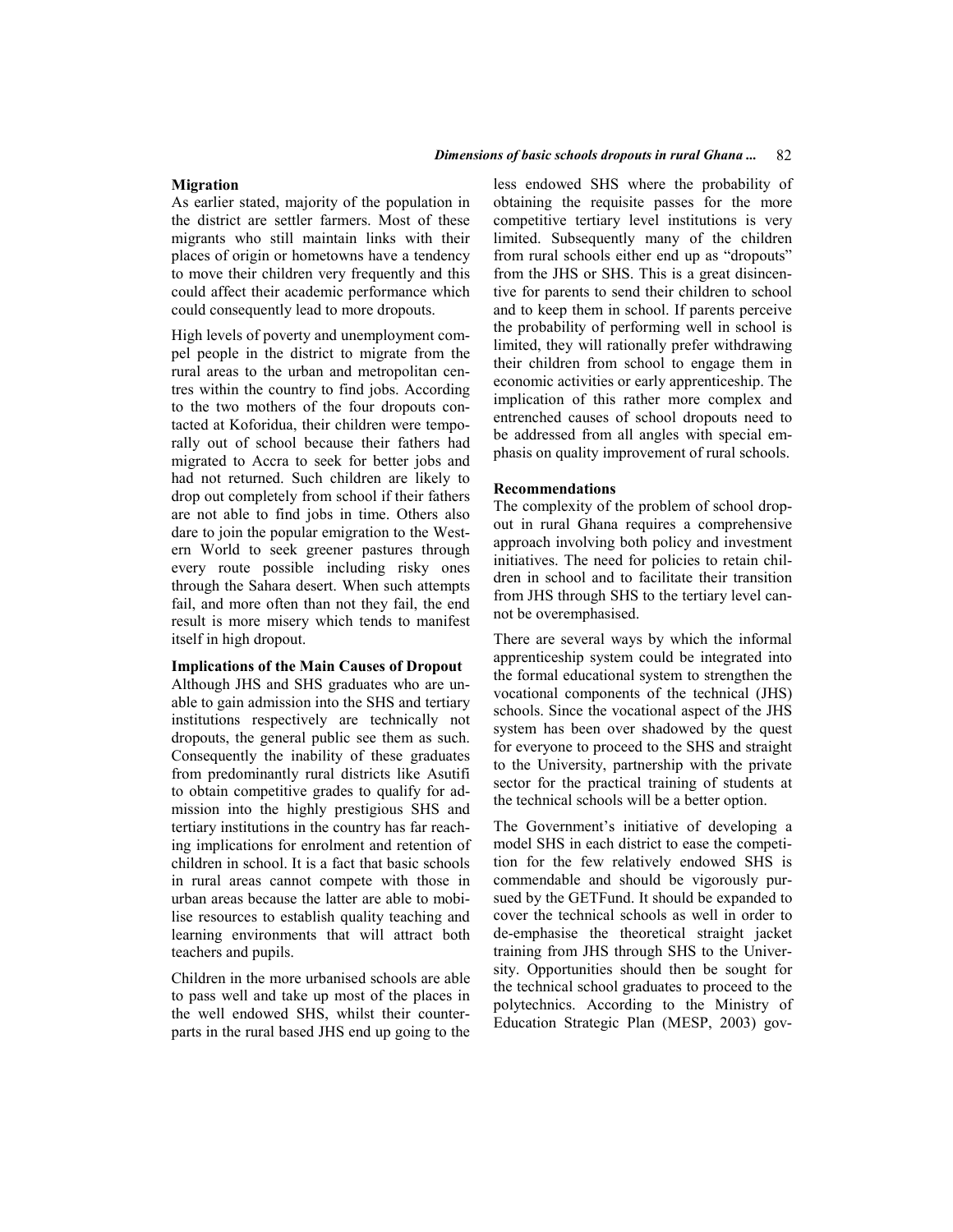#### *Dimensions of basic schools dropouts in rural Ghana ...* 82

## **Migration**

As earlier stated, majority of the population in the district are settler farmers. Most of these migrants who still maintain links with their places of origin or hometowns have a tendency to move their children very frequently and this could affect their academic performance which could consequently lead to more dropouts.

High levels of poverty and unemployment compel people in the district to migrate from the rural areas to the urban and metropolitan centres within the country to find jobs. According to the two mothers of the four dropouts contacted at Koforidua, their children were temporally out of school because their fathers had migrated to Accra to seek for better jobs and had not returned. Such children are likely to drop out completely from school if their fathers are not able to find jobs in time. Others also dare to join the popular emigration to the Western World to seek greener pastures through every route possible including risky ones through the Sahara desert. When such attempts fail, and more often than not they fail, the end result is more misery which tends to manifest itself in high dropout.

# **Implications of the Main Causes of Dropout**

Although JHS and SHS graduates who are unable to gain admission into the SHS and tertiary institutions respectively are technically not dropouts, the general public see them as such. Consequently the inability of these graduates from predominantly rural districts like Asutifi to obtain competitive grades to qualify for admission into the highly prestigious SHS and tertiary institutions in the country has far reaching implications for enrolment and retention of children in school. It is a fact that basic schools in rural areas cannot compete with those in urban areas because the latter are able to mobilise resources to establish quality teaching and learning environments that will attract both teachers and pupils.

Children in the more urbanised schools are able to pass well and take up most of the places in the well endowed SHS, whilst their counterparts in the rural based JHS end up going to the

less endowed SHS where the probability of obtaining the requisite passes for the more competitive tertiary level institutions is very limited. Subsequently many of the children from rural schools either end up as "dropouts" from the JHS or SHS. This is a great disincentive for parents to send their children to school and to keep them in school. If parents perceive the probability of performing well in school is limited, they will rationally prefer withdrawing their children from school to engage them in economic activities or early apprenticeship. The implication of this rather more complex and entrenched causes of school dropouts need to be addressed from all angles with special emphasis on quality improvement of rural schools.

# **Recommendations**

The complexity of the problem of school dropout in rural Ghana requires a comprehensive approach involving both policy and investment initiatives. The need for policies to retain children in school and to facilitate their transition from JHS through SHS to the tertiary level cannot be overemphasised.

There are several ways by which the informal apprenticeship system could be integrated into the formal educational system to strengthen the vocational components of the technical (JHS) schools. Since the vocational aspect of the JHS system has been over shadowed by the quest for everyone to proceed to the SHS and straight to the University, partnership with the private sector for the practical training of students at the technical schools will be a better option.

The Government's initiative of developing a model SHS in each district to ease the competition for the few relatively endowed SHS is commendable and should be vigorously pursued by the GETFund. It should be expanded to cover the technical schools as well in order to de-emphasise the theoretical straight jacket training from JHS through SHS to the University. Opportunities should then be sought for the technical school graduates to proceed to the polytechnics. According to the Ministry of Education Strategic Plan (MESP, 2003) gov-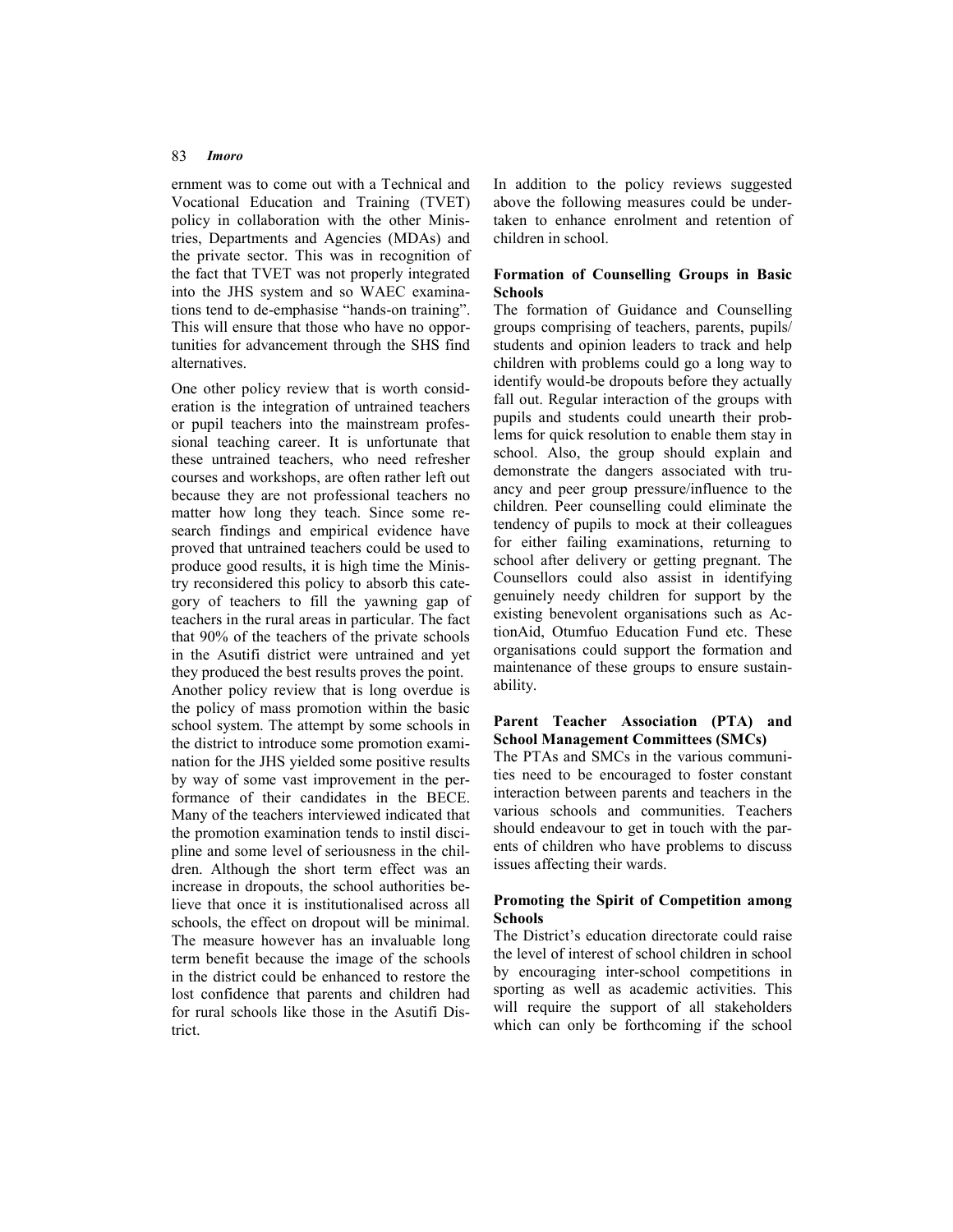ernment was to come out with a Technical and Vocational Education and Training (TVET) policy in collaboration with the other Ministries, Departments and Agencies (MDAs) and the private sector. This was in recognition of the fact that TVET was not properly integrated into the JHS system and so WAEC examinations tend to de-emphasise "hands-on training". This will ensure that those who have no opportunities for advancement through the SHS find alternatives.

One other policy review that is worth consideration is the integration of untrained teachers or pupil teachers into the mainstream professional teaching career. It is unfortunate that these untrained teachers, who need refresher courses and workshops, are often rather left out because they are not professional teachers no matter how long they teach. Since some research findings and empirical evidence have proved that untrained teachers could be used to produce good results, it is high time the Ministry reconsidered this policy to absorb this category of teachers to fill the yawning gap of teachers in the rural areas in particular. The fact that 90% of the teachers of the private schools in the Asutifi district were untrained and yet they produced the best results proves the point. Another policy review that is long overdue is the policy of mass promotion within the basic school system. The attempt by some schools in the district to introduce some promotion examination for the JHS yielded some positive results by way of some vast improvement in the performance of their candidates in the BECE. Many of the teachers interviewed indicated that the promotion examination tends to instil discipline and some level of seriousness in the children. Although the short term effect was an increase in dropouts, the school authorities believe that once it is institutionalised across all schools, the effect on dropout will be minimal. The measure however has an invaluable long term benefit because the image of the schools in the district could be enhanced to restore the lost confidence that parents and children had for rural schools like those in the Asutifi District.

In addition to the policy reviews suggested above the following measures could be undertaken to enhance enrolment and retention of children in school.

## **Formation of Counselling Groups in Basic Schools**

The formation of Guidance and Counselling groups comprising of teachers, parents, pupils/ students and opinion leaders to track and help children with problems could go a long way to identify would-be dropouts before they actually fall out. Regular interaction of the groups with pupils and students could unearth their problems for quick resolution to enable them stay in school. Also, the group should explain and demonstrate the dangers associated with truancy and peer group pressure/influence to the children. Peer counselling could eliminate the tendency of pupils to mock at their colleagues for either failing examinations, returning to school after delivery or getting pregnant. The Counsellors could also assist in identifying genuinely needy children for support by the existing benevolent organisations such as ActionAid, Otumfuo Education Fund etc. These organisations could support the formation and maintenance of these groups to ensure sustainability.

# **Parent Teacher Association (PTA) and School Management Committees (SMCs)**

The PTAs and SMCs in the various communities need to be encouraged to foster constant interaction between parents and teachers in the various schools and communities. Teachers should endeavour to get in touch with the parents of children who have problems to discuss issues affecting their wards.

## **Promoting the Spirit of Competition among Schools**

The District's education directorate could raise the level of interest of school children in school by encouraging inter-school competitions in sporting as well as academic activities. This will require the support of all stakeholders which can only be forthcoming if the school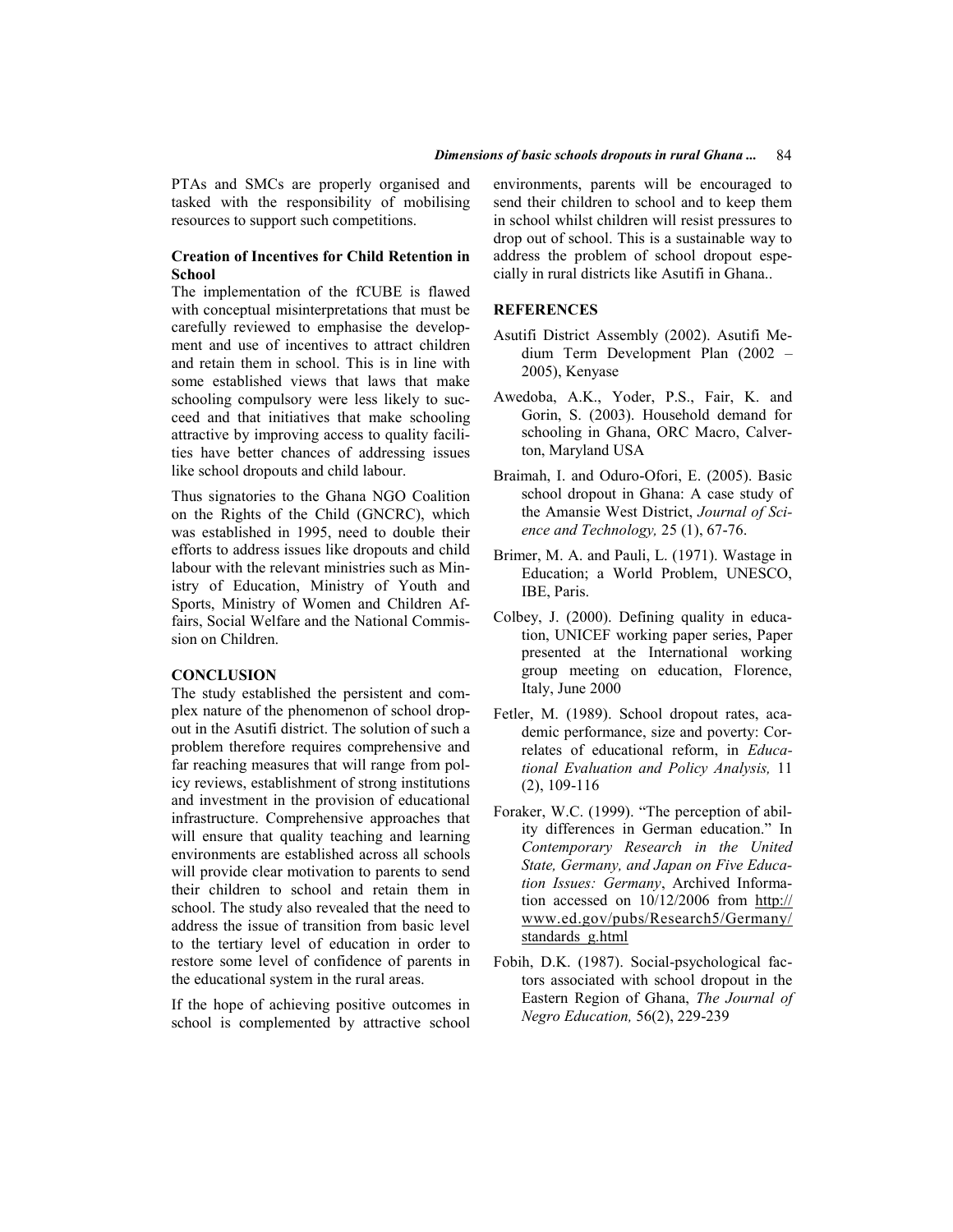PTAs and SMCs are properly organised and tasked with the responsibility of mobilising resources to support such competitions.

# **Creation of Incentives for Child Retention in School**

The implementation of the fCUBE is flawed with conceptual misinterpretations that must be carefully reviewed to emphasise the development and use of incentives to attract children and retain them in school. This is in line with some established views that laws that make schooling compulsory were less likely to succeed and that initiatives that make schooling attractive by improving access to quality facilities have better chances of addressing issues like school dropouts and child labour.

Thus signatories to the Ghana NGO Coalition on the Rights of the Child (GNCRC), which was established in 1995, need to double their efforts to address issues like dropouts and child labour with the relevant ministries such as Ministry of Education, Ministry of Youth and Sports, Ministry of Women and Children Affairs, Social Welfare and the National Commission on Children.

# **CONCLUSION**

The study established the persistent and complex nature of the phenomenon of school dropout in the Asutifi district. The solution of such a problem therefore requires comprehensive and far reaching measures that will range from policy reviews, establishment of strong institutions and investment in the provision of educational infrastructure. Comprehensive approaches that will ensure that quality teaching and learning environments are established across all schools will provide clear motivation to parents to send their children to school and retain them in school. The study also revealed that the need to address the issue of transition from basic level to the tertiary level of education in order to restore some level of confidence of parents in the educational system in the rural areas.

If the hope of achieving positive outcomes in school is complemented by attractive school

environments, parents will be encouraged to send their children to school and to keep them in school whilst children will resist pressures to drop out of school. This is a sustainable way to address the problem of school dropout especially in rural districts like Asutifi in Ghana..

# **REFERENCES**

- Asutifi District Assembly (2002). Asutifi Medium Term Development Plan (2002 – 2005), Kenyase
- Awedoba, A.K., Yoder, P.S., Fair, K. and Gorin, S. (2003). Household demand for schooling in Ghana, ORC Macro, Calverton, Maryland USA
- Braimah, I. and Oduro-Ofori, E. (2005). Basic school dropout in Ghana: A case study of the Amansie West District, *Journal of Science and Technology,* 25 (1), 67-76.
- Brimer, M. A. and Pauli, L. (1971). Wastage in Education; a World Problem, UNESCO, IBE, Paris.
- Colbey, J. (2000). Defining quality in education, UNICEF working paper series, Paper presented at the International working group meeting on education, Florence, Italy, June 2000
- Fetler, M. (1989). School dropout rates, academic performance, size and poverty: Correlates of educational reform, in *Educational Evaluation and Policy Analysis,* 11 (2), 109-116
- Foraker, W.C. (1999). "The perception of ability differences in German education." In *Contemporary Research in the United State, Germany, and Japan on Five Education Issues: Germany*, Archived Information accessed on 10/12/2006 from [http://](http://www.ed.gov/pubs/Research5/Germany/standards_g.html) [www.ed.gov/pubs/Research5/Germany/](http://www.ed.gov/pubs/Research5/Germany/standards_g.html) [standards\\_g.html](http://www.ed.gov/pubs/Research5/Germany/standards_g.html)
- Fobih, D.K. (1987). Social-psychological factors associated with school dropout in the Eastern Region of Ghana, *The Journal of Negro Education,* 56(2), 229-239